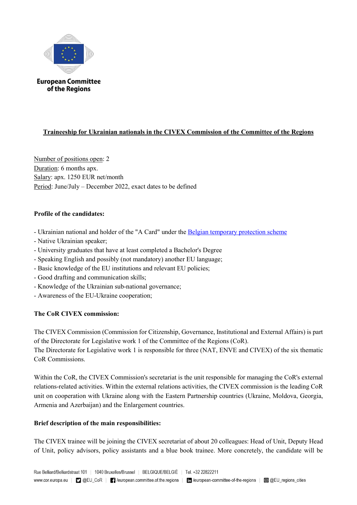

# Traineeship for Ukrainian nationals in the CIVEX Commission of the Committee of the Regions

Number of positions open: 2 Duration: 6 months apx. Salary: apx. 1250 EUR net/month Period: June/July – December 2022, exact dates to be defined

#### Profile of the candidates:

- Ukrainian national and holder of the "A Card" under the Belgian temporary protection scheme
- Native Ukrainian speaker;
- University graduates that have at least completed a Bachelor's Degree
- Speaking English and possibly (not mandatory) another EU language;
- Basic knowledge of the EU institutions and relevant EU policies;
- Good drafting and communication skills;
- Knowledge of the Ukrainian sub-national governance;
- Awareness of the EU-Ukraine cooperation;

## The CoR CIVEX commission:

The CIVEX Commission (Commission for Citizenship, Governance, Institutional and External Affairs) is part of the Directorate for Legislative work 1 of the Committee of the Regions (CoR). The Directorate for Legislative work 1 is responsible for three (NAT, ENVE and CIVEX) of the six thematic CoR Commissions.

Within the CoR, the CIVEX Commission's secretariat is the unit responsible for managing the CoR's external relations-related activities. Within the external relations activities, the CIVEX commission is the leading CoR unit on cooperation with Ukraine along with the Eastern Partnership countries (Ukraine, Moldova, Georgia, Armenia and Azerbaijan) and the Enlargement countries.

#### Brief description of the main responsibilities:

The CIVEX trainee will be joining the CIVEX secretariat of about 20 colleagues: Head of Unit, Deputy Head of Unit, policy advisors, policy assistants and a blue book trainee. More concretely, the candidate will be